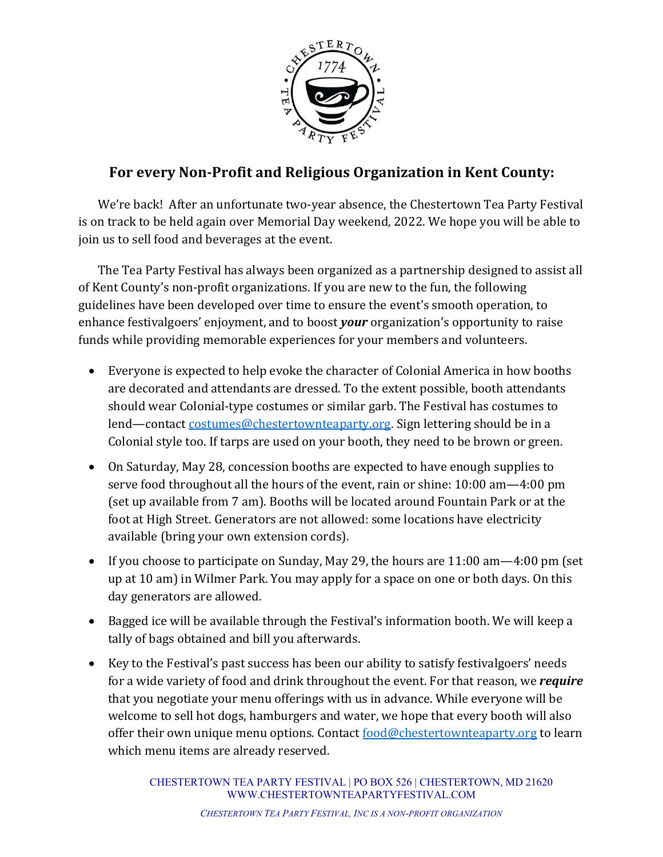

## **For every Non-Profit and Religious Organization in Kent County:**

We're back! After an unfortunate two-year absence, the Chestertown Tea Party Festival is on track to be held again over Memorial Day weekend, 2022. We hope you will be able to join us to sell food and beverages at the event.

The Tea Party Festival has always been organized as a partnership designed to assist all of Kent County's non-profit organizations. If you are new to the fun, the following guidelines have been developed over time to ensure the event's smooth operation, to enhance festivalgoers' enjoyment, and to boost *your* organization's opportunity to raise funds while providing memorable experiences for your members and volunteers.

- Everyone is expected to help evoke the character of Colonial America in how booths are decorated and attendants are dressed. To the extent possible, booth attendants should wear Colonial-type costumes or similar garb. The Festival has costumes to lend—contact costumes@chestertownteaparty.org. Sign lettering should be in a Colonial style too. If tarps are used on your booth, they need to be brown or green.
- On Saturday, May 28, concession booths are expected to have enough supplies to serve food throughout all the hours of the event, rain or shine:  $10:00$  am $-4:00$  pm (set up available from 7 am). Booths will be located around Fountain Park or at the foot at High Street. Generators are not allowed: some locations have electricity available (bring your own extension cords).
- If you choose to participate on Sunday, May 29, the hours are 11:00 am—4:00 pm (set up at 10 am) in Wilmer Park. You may apply for a space on one or both days. On this day generators are allowed.
- Bagged ice will be available through the Festival's information booth. We will keep a tally of bags obtained and bill you afterwards.
- Key to the Festival's past success has been our ability to satisfy festivalgoers' needs for a wide variety of food and drink throughout the event. For that reason, we *require* that you negotiate your menu offerings with us in advance. While everyone will be welcome to sell hot dogs, hamburgers and water, we hope that every booth will also offer their own unique menu options. Contact  $\frac{\partial \phi}{\partial t}$  chestertownteaparty.org to learn which menu items are already reserved.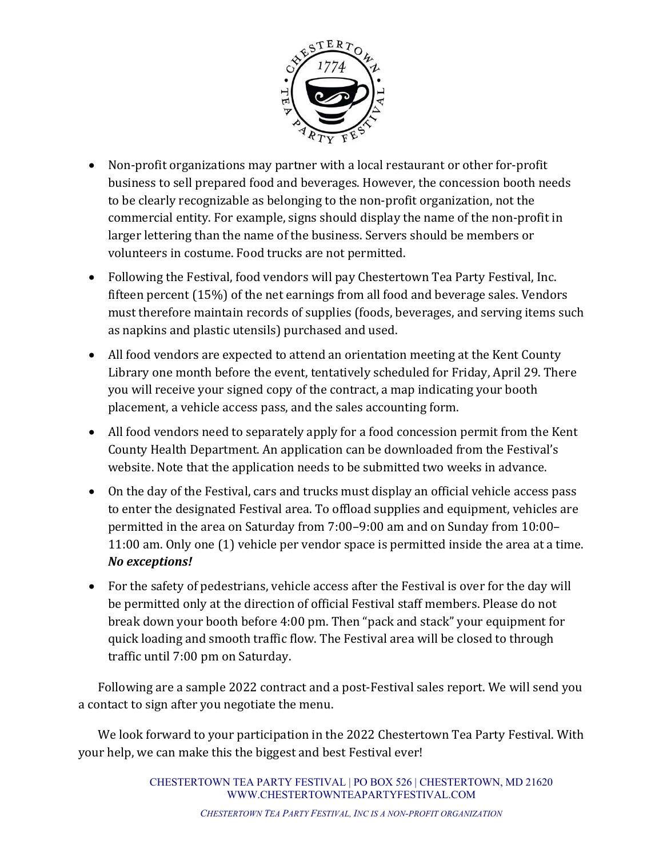

- Non-profit organizations may partner with a local restaurant or other for-profit business to sell prepared food and beverages. However, the concession booth needs to be clearly recognizable as belonging to the non-profit organization, not the commercial entity. For example, signs should display the name of the non-profit in larger lettering than the name of the business. Servers should be members or volunteers in costume. Food trucks are not permitted.
- Following the Festival, food vendors will pay Chestertown Tea Party Festival, Inc. fifteen percent  $(15%)$  of the net earnings from all food and beverage sales. Vendors must therefore maintain records of supplies (foods, beverages, and serving items such as napkins and plastic utensils) purchased and used.
- All food vendors are expected to attend an orientation meeting at the Kent County Library one month before the event, tentatively scheduled for Friday, April 29. There you will receive your signed copy of the contract, a map indicating your booth placement, a vehicle access pass, and the sales accounting form.
- All food vendors need to separately apply for a food concession permit from the Kent County Health Department. An application can be downloaded from the Festival's website. Note that the application needs to be submitted two weeks in advance.
- On the day of the Festival, cars and trucks must display an official vehicle access pass to enter the designated Festival area. To offload supplies and equipment, vehicles are permitted in the area on Saturday from 7:00-9:00 am and on Sunday from 10:00-11:00 am. Only one (1) vehicle per vendor space is permitted inside the area at a time. *No exceptions!*
- For the safety of pedestrians, vehicle access after the Festival is over for the day will be permitted only at the direction of official Festival staff members. Please do not break down your booth before 4:00 pm. Then "pack and stack" your equipment for quick loading and smooth traffic flow. The Festival area will be closed to through traffic until 7:00 pm on Saturday.

Following are a sample 2022 contract and a post-Festival sales report. We will send you a contact to sign after you negotiate the menu.

We look forward to your participation in the 2022 Chestertown Tea Party Festival. With your help, we can make this the biggest and best Festival ever!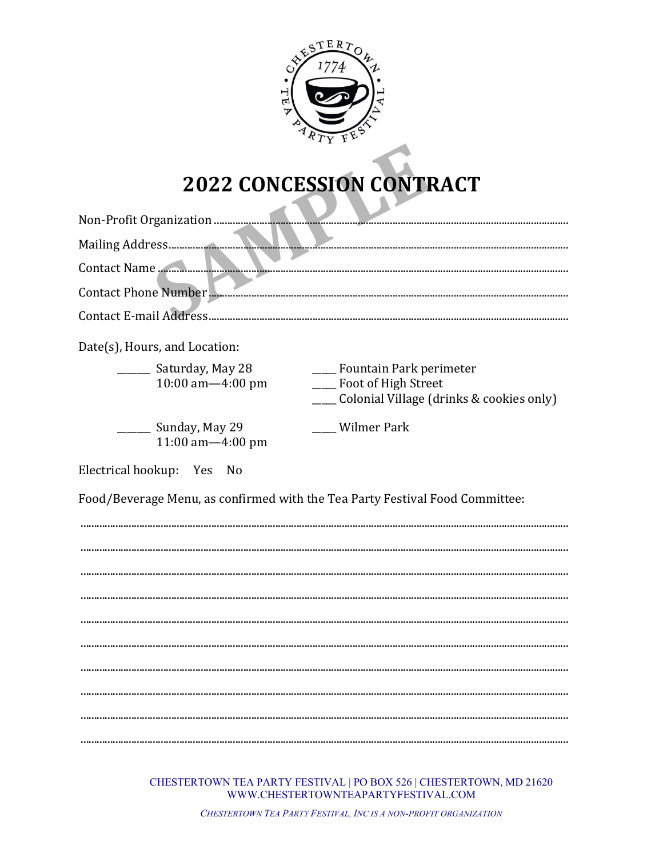

## 2022 CONCESSION CONTRACT

|                                              | Contact Phone Number                                                                                      |
|----------------------------------------------|-----------------------------------------------------------------------------------------------------------|
|                                              |                                                                                                           |
| Date(s), Hours, and Location:                |                                                                                                           |
| _______ Saturday, May 28<br>10:00 am-4:00 pm | ____ Fountain Park perimeter<br>____ Foot of High Street<br>____ Colonial Village (drinks & cookies only) |
| _____ Sunday, May 29<br>11:00 am-4:00 pm     | ___ Wilmer Park                                                                                           |
| Electrical hookup: Yes<br>No.                |                                                                                                           |
|                                              | Food/Beverage Menu, as confirmed with the Tea Party Festival Food Committee:                              |
|                                              |                                                                                                           |
|                                              |                                                                                                           |
|                                              |                                                                                                           |
|                                              |                                                                                                           |
|                                              |                                                                                                           |
|                                              |                                                                                                           |
|                                              |                                                                                                           |
|                                              |                                                                                                           |
|                                              |                                                                                                           |
|                                              |                                                                                                           |

CHESTERTOWN TEA PARTY FESTIVAL | PO BOX 526 | CHESTERTOWN, MD 21620 WWW.CHESTERTOWNTEAPARTYFESTIVAL.COM

CHESTERTOWN TEA PARTY FESTIVAL, INC IS A NON-PROFIT ORGANIZATION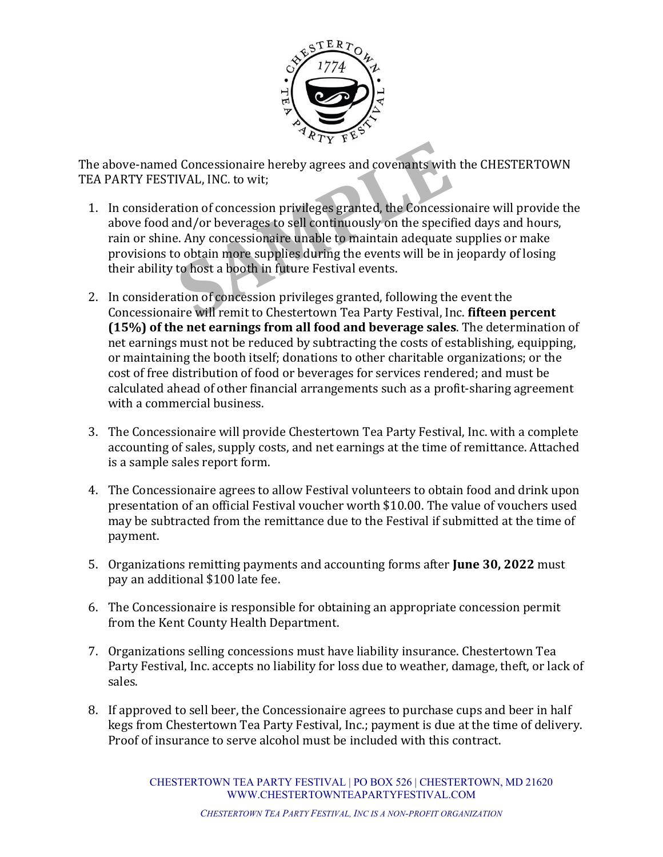

The above-named Concessionaire hereby agrees and covenants with the CHESTERTOWN TEA PARTY FESTIVAL, INC. to wit;

- I Concessionaire hereby agrees and covenants with<br>IVAL, INC. to wit;<br>tion of concession privileges granted, the Concessi<br>and/or beverages to sell continuously on the specified.<br>Any concessionaire unable to maintain adequat 1. In consideration of concession privileges granted, the Concessionaire will provide the above food and/or beverages to sell continuously on the specified days and hours, rain or shine. Any concessionaire unable to maintain adequate supplies or make provisions to obtain more supplies during the events will be in jeopardy of losing their ability to host a booth in future Festival events.
- 2. In consideration of concession privileges granted, following the event the Concessionaire will remit to Chestertown Tea Party Festival, Inc. fifteen percent **(15%)** of the net earnings from all food and beverage sales. The determination of net earnings must not be reduced by subtracting the costs of establishing, equipping, or maintaining the booth itself; donations to other charitable organizations; or the cost of free distribution of food or beverages for services rendered; and must be calculated ahead of other financial arrangements such as a profit-sharing agreement with a commercial business.
- 3. The Concessionaire will provide Chestertown Tea Party Festival, Inc. with a complete accounting of sales, supply costs, and net earnings at the time of remittance. Attached is a sample sales report form.
- 4. The Concessionaire agrees to allow Festival volunteers to obtain food and drink upon presentation of an official Festival voucher worth \$10.00. The value of vouchers used may be subtracted from the remittance due to the Festival if submitted at the time of payment.
- 5. Organizations remitting payments and accounting forms after **June 30, 2022** must pay an additional \$100 late fee.
- 6. The Concessionaire is responsible for obtaining an appropriate concession permit from the Kent County Health Department.
- 7. Organizations selling concessions must have liability insurance. Chestertown Tea Party Festival, Inc. accepts no liability for loss due to weather, damage, theft, or lack of sales.
- 8. If approved to sell beer, the Concessionaire agrees to purchase cups and beer in half kegs from Chestertown Tea Party Festival, Inc.; payment is due at the time of delivery. Proof of insurance to serve alcohol must be included with this contract.

CHESTERTOWN TEA PARTY FESTIVAL | PO BOX 526 | CHESTERTOWN, MD 21620 WWW.CHESTERTOWNTEAPARTYFESTIVAL.COM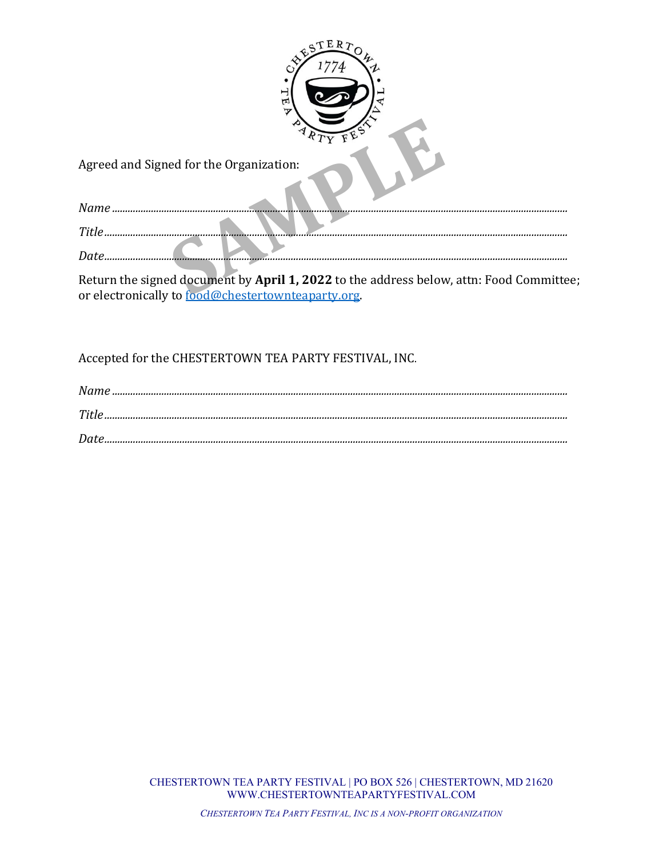| E R<br>65<br>π                          |  |  |  |  |  |
|-----------------------------------------|--|--|--|--|--|
| Agreed and Signed for the Organization: |  |  |  |  |  |
| Name                                    |  |  |  |  |  |
| Title<br><del></del>                    |  |  |  |  |  |
| Date.                                   |  |  |  |  |  |

Return the signed document by April 1, 2022 to the address below, attn: Food Committee; or electronically to food@chestertownteaparty.org.

Accepted for the CHESTERTOWN TEA PARTY FESTIVAL, INC.